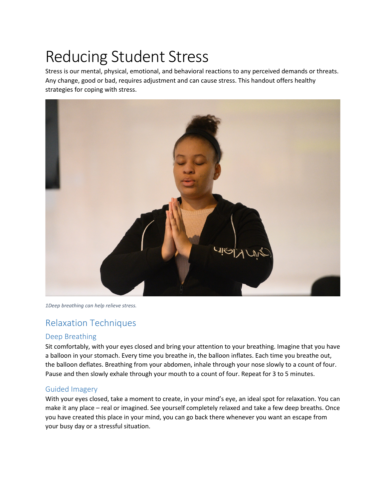# Reducing Student Stress

Stress is our mental, physical, emotional, and behavioral reactions to any perceived demands or threats. Any change, good or bad, requires adjustment and can cause stress. This handout offers healthy strategies for coping with stress.



*1Deep breathing can help relieve stress.*

# Relaxation Techniques

## Deep Breathing

Sit comfortably, with your eyes closed and bring your attention to your breathing. Imagine that you have a balloon in your stomach. Every time you breathe in, the balloon inflates. Each time you breathe out, the balloon deflates. Breathing from your abdomen, inhale through your nose slowly to a count of four. Pause and then slowly exhale through your mouth to a count of four. Repeat for 3 to 5 minutes.

## Guided Imagery

With your eyes closed, take a moment to create, in your mind's eye, an ideal spot for relaxation. You can make it any place – real or imagined. See yourself completely relaxed and take a few deep breaths. Once you have created this place in your mind, you can go back there whenever you want an escape from your busy day or a stressful situation.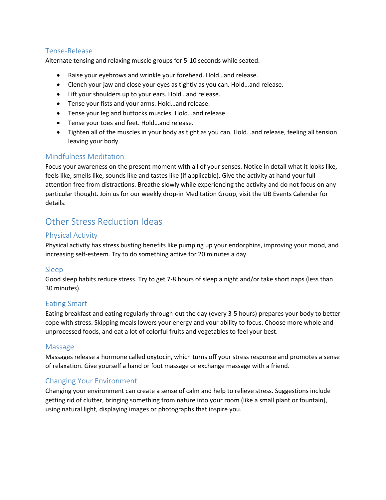# Tense-Release

Alternate tensing and relaxing muscle groups for 5-10 seconds while seated:

- Raise your eyebrows and wrinkle your forehead. Hold…and release.
- Clench your jaw and close your eyes as tightly as you can. Hold…and release.
- Lift your shoulders up to your ears. Hold…and release.
- Tense your fists and your arms. Hold…and release.
- Tense your leg and buttocks muscles. Hold…and release.
- Tense your toes and feet. Hold…and release.
- Tighten all of the muscles in your body as tight as you can. Hold…and release, feeling all tension leaving your body.

#### Mindfulness Meditation

Focus your awareness on the present moment with all of your senses. Notice in detail what it looks like, feels like, smells like, sounds like and tastes like (if applicable). Give the activity at hand your full attention free from distractions. Breathe slowly while experiencing the activity and do not focus on any particular thought. Join us for our weekly drop-in Meditation Group, visit the UB Events Calendar for details.

# Other Stress Reduction Ideas

#### Physical Activity

Physical activity has stress busting benefits like pumping up your endorphins, improving your mood, and increasing self-esteem. Try to do something active for 20 minutes a day.

#### Sleep

Good sleep habits reduce stress. Try to get 7-8 hours of sleep a night and/or take short naps (less than 30 minutes).

#### Eating Smart

Eating breakfast and eating regularly through-out the day (every 3-5 hours) prepares your body to better cope with stress. Skipping meals lowers your energy and your ability to focus. Choose more whole and unprocessed foods, and eat a lot of colorful fruits and vegetables to feel your best.

#### Massage

Massages release a hormone called oxytocin, which turns off your stress response and promotes a sense of relaxation. Give yourself a hand or foot massage or exchange massage with a friend.

## Changing Your Environment

Changing your environment can create a sense of calm and help to relieve stress. Suggestions include getting rid of clutter, bringing something from nature into your room (like a small plant or fountain), using natural light, displaying images or photographs that inspire you.